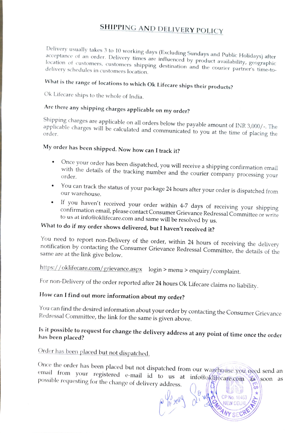#### SHIPPING AND DELIVERY POLICY

Delivery usually takes 3 to 10 working days (Excluding Sundays and Public Holidays) after acceptance of an order. Delivery<br>location of Delivery usually takes 3 to 10 working days (Excluding Sundays and Public Holidays) after<br>acceptance of an order. Delivery times are influenced by product availability, geographic<br>location of customers, customers shipping

## What is the range of locations to which Ok Lifecare ships their products?

Ok Lifecare ships to the whole of India.

### Are there any shipping charges applicable on my order?

Shipping charges are applicable on all orders below the payable amount of INR 3,000/-. The applicable charges will be calculated and communicated to you at the time of placing the

### My order has been shipped. Now how can I track it?

- Once your order has been dispatched, you will receive a shipping confirmation email with the details of the tracking number and the courier company processing your
- You can track the status of your package 24 hours after your order is dispatched from our warehouse.
- If you haven't received your order within 4-7 days of receiving your shipping confirmation email, please contact Consumer Grievance Redressal Committee or write to us at info@oklifecare.com and same will be resolved by us.

#### What to do if my order shows delivered, but I haven't received it?

You need to report non-Delivery of the order, within 24 hours of receiving the delivery notification by contacting the Consumer Grievance Redressal Committee, the details of the same are at the link give below.

https://oklifecare.com/grievance.aspx login > menu > enquiry/complaint.

For non-Delivery of the order reported after 24 hours Ok Lifecare claims no liability.

#### How can I find out more information about my order?

You can find the desired information about your order by contacting the Consumer Grievance<br>Redressal Committee, the link for the same is given above.

# Is it possible to request for change the delivery address at any point of time once the order has been placed?

Order has been placed but not dispatched.

Once the order has been placed but not dispatched from our wavehouse you need send an email from your registered e-mail id to us at info@oklifecare.com as possible requesting for the change of delivery address.

CP No. 18463

MANY SECRETA